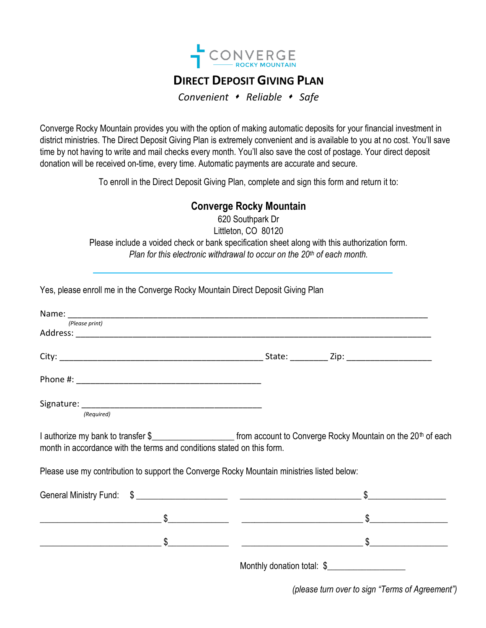

## **DIRECT DEPOSIT GIVING PLAN**

*Convenient Reliable Safe*

Converge Rocky Mountain provides you with the option of making automatic deposits for your financial investment in district ministries. The Direct Deposit Giving Plan is extremely convenient and is available to you at no cost. You'll save time by not having to write and mail checks every month. You'll also save the cost of postage. Your direct deposit donation will be received on-time, every time. Automatic payments are accurate and secure.

To enroll in the Direct Deposit Giving Plan, complete and sign this form and return it to:

## **Converge Rocky Mountain**

620 Southpark Dr Littleton, CO 80120 Please include a voided check or bank specification sheet along with this authorization form. *Plan for this electronic withdrawal to occur on the 20th of each month.*

| (Please print)                                                                                                                                                                                                |                                                                                                                                                                                                                                  |
|---------------------------------------------------------------------------------------------------------------------------------------------------------------------------------------------------------------|----------------------------------------------------------------------------------------------------------------------------------------------------------------------------------------------------------------------------------|
|                                                                                                                                                                                                               |                                                                                                                                                                                                                                  |
|                                                                                                                                                                                                               |                                                                                                                                                                                                                                  |
|                                                                                                                                                                                                               |                                                                                                                                                                                                                                  |
| (Required)                                                                                                                                                                                                    |                                                                                                                                                                                                                                  |
| I authorize my bank to transfer \$_________________________ from account to Converge Rocky Mountain on the 20 <sup>th</sup> of each<br>month in accordance with the terms and conditions stated on this form. |                                                                                                                                                                                                                                  |
| Please use my contribution to support the Converge Rocky Mountain ministries listed below:                                                                                                                    |                                                                                                                                                                                                                                  |
|                                                                                                                                                                                                               |                                                                                                                                                                                                                                  |
|                                                                                                                                                                                                               |                                                                                                                                                                                                                                  |
|                                                                                                                                                                                                               |                                                                                                                                                                                                                                  |
|                                                                                                                                                                                                               | $\mathbf{M}$ and the contract of the contract of the contract of the contract of the contract of the contract of the contract of the contract of the contract of the contract of the contract of the contract of the contract of |

Monthly donation total: \$

*(please turn over to sign "Terms of Agreement")*